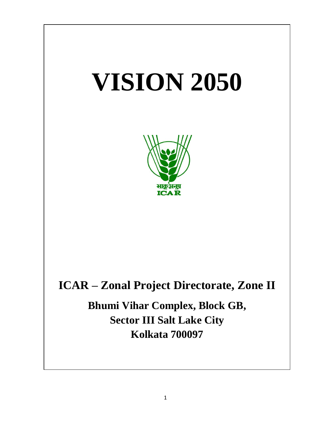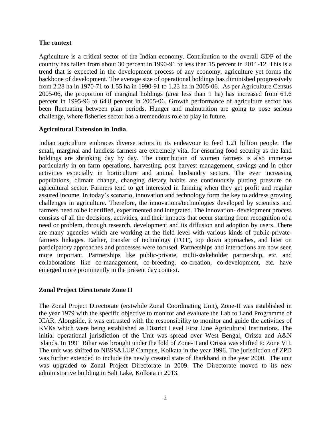### **The context**

Agriculture is a critical sector of the Indian economy. Contribution to the overall GDP of the country has fallen from about 30 percent in 1990-91 to less than 15 percent in 2011-12. This is a trend that is expected in the development process of any economy, agriculture yet forms the backbone of development. The average size of operational holdings has diminished progressively from 2.28 ha in 1970-71 to 1.55 ha in 1990-91 to 1.23 ha in 2005-06. As per Agriculture Census 2005-06, the proportion of marginal holdings (area less than 1 ha) has increased from 61.6 percent in 1995-96 to 64.8 percent in 2005-06. Growth performance of agriculture sector has been fluctuating between plan periods. Hunger and malnutrition are going to pose serious challenge, where fisheries sector has a tremendous role to play in future.

### **Agricultural Extension in India**

Indian agriculture embraces diverse actors in its endeavour to feed 1.21 billion people. The small, marginal and landless farmers are extremely vital for ensuring food security as the land holdings are shrinking day by day. The contribution of women farmers is also immense particularly in on farm operations, harvesting, post harvest management, savings and in other activities especially in horticulture and animal husbandry sectors. The ever increasing populations, climate change, changing dietary habits are continuously putting pressure on agricultural sector. Farmers tend to get interested in farming when they get profit and regular assured income. In today's scenario, innovation and technology form the key to address growing challenges in agriculture. Therefore, the innovations/technologies developed by scientists and farmers need to be identified, experimented and integrated. The innovation- development process consists of all the decisions, activities, and their impacts that occur starting from recognition of a need or problem, through research, development and its diffusion and adoption by users. There are many agencies which are working at the field level with various kinds of public-privatefarmers linkages. Earlier, transfer of technology (TOT), top down approaches, and later on participatory approaches and processes were focused. Partnerships and interactions are now seen more important. Partnerships like public-private, multi-stakeholder partnership, etc. and collaborations like co-management, co-breeding, co-creation, co-development, etc. have emerged more prominently in the present day context.

## **Zonal Project Directorate Zone II**

The Zonal Project Directorate (erstwhile Zonal Coordinating Unit), Zone-II was established in the year 1979 with the specific objective to monitor and evaluate the Lab to Land Programme of ICAR. Alongside, it was entrusted with the responsibility to monitor and guide the activities of KVKs which were being established as District Level First Line Agricultural Institutions. The initial operational jurisdiction of the Unit was spread over West Bengal, Orissa and A&N Islands. In 1991 Bihar was brought under the fold of Zone-II and Orissa was shifted to Zone VII. The unit was shifted to NBSS&LUP Campus, Kolkata in the year 1996. The jurisdiction of ZPD was further extended to include the newly created state of Jharkhand in the year 2000. The unit was upgraded to Zonal Project Directorate in 2009. The Directorate moved to its new administrative building in Salt Lake, Kolkata in 2013.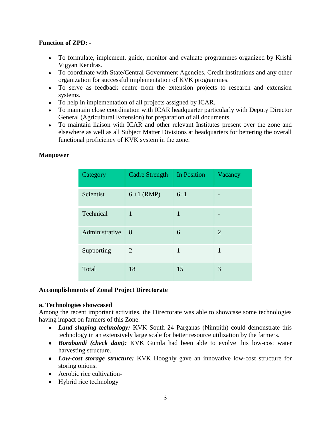### **Function of ZPD: -**

- To formulate, implement, guide, monitor and evaluate programmes organized by Krishi Vigyan Kendras.
- To coordinate with State/Central Government Agencies, Credit institutions and any other organization for successful implementation of KVK programmes.
- To serve as feedback centre from the extension projects to research and extension systems.
- To help in implementation of all projects assigned by ICAR.
- To maintain close coordination with ICAR headquarter particularly with Deputy Director General (Agricultural Extension) for preparation of all documents.
- To maintain liaison with ICAR and other relevant Institutes present over the zone and elsewhere as well as all Subject Matter Divisions at headquarters for bettering the overall functional proficiency of KVK system in the zone.

| Category       | <b>Cadre Strength</b> | In Position | Vacancy |  |
|----------------|-----------------------|-------------|---------|--|
| Scientist      | $6+1$ (RMP)           | $6 + 1$     |         |  |
| Technical      | $\mathbf{1}$          | 1           |         |  |
| Administrative | 8                     | 6           | 2       |  |
| Supporting     | 2                     | 1           | 1       |  |
| Total          | 18                    | 15          | 3       |  |

#### **Manpower**

#### **Accomplishments of Zonal Project Directorate**

#### **a. Technologies showcased**

Among the recent important activities, the Directorate was able to showcase some technologies having impact on farmers of this Zone.

- *Land shaping technology:* KVK South 24 Parganas (Nimpith) could demonstrate this technology in an extensively large scale for better resource utilization by the farmers.
- *Borabandi (check dam):* KVK Gumla had been able to evolve this low-cost water harvesting structure.
- *Low-cost storage structure:* KVK Hooghly gave an innovative low-cost structure for storing onions.
- Aerobic rice cultivation-
- Hybrid rice technology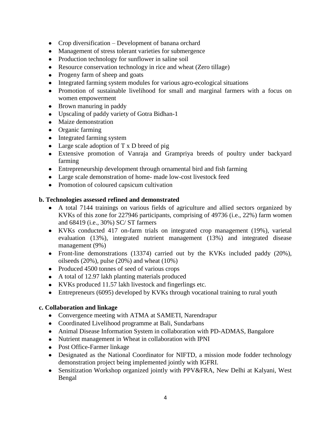- Crop diversification Development of banana orchard
- Management of stress tolerant varieties for submergence
- Production technology for sunflower in saline soil
- Resource conservation technology in rice and wheat (Zero tillage)
- Progeny farm of sheep and goats
- Integrated farming system modules for various agro-ecological situations
- Promotion of sustainable livelihood for small and marginal farmers with a focus on women empowerment
- Brown manuring in paddy
- Upscaling of paddy variety of Gotra Bidhan-1
- Maize demonstration
- Organic farming
- Integrated farming system
- Large scale adoption of T x D breed of pig
- Extensive promotion of Vanraja and Grampriya breeds of poultry under backyard farming
- Entrepreneurship development through ornamental bird and fish farming
- Large scale demonstration of home- made low-cost livestock feed
- Promotion of coloured capsicum cultivation

## **b. Technologies assessed refined and demonstrated**

- A total 7144 trainings on various fields of agriculture and allied sectors organized by KVKs of this zone for 227946 participants, comprising of 49736 (i.e., 22%) farm women and 68419 (i.e., 30%) SC/ ST farmers
- KVKs conducted 417 on-farm trials on integrated crop management (19%), varietal evaluation (13%), integrated nutrient management (13%) and integrated disease management (9%)
- Front-line demonstrations (13374) carried out by the KVKs included paddy (20%), oilseeds  $(20\%)$ , pulse  $(20\%)$  and wheat  $(10\%)$
- Produced 4500 tonnes of seed of various crops
- A total of 12.97 lakh planting materials produced
- KVKs produced 11.57 lakh livestock and fingerlings etc.
- Entrepreneurs (6095) developed by KVKs through vocational training to rural youth

## **c. Collaboration and linkage**

- Convergence meeting with ATMA at SAMETI, Narendrapur
- Coordinated Livelihood programme at Bali, Sundarbans
- Animal Disease Information System in collaboration with PD-ADMAS, Bangalore
- Nutrient management in Wheat in collaboration with IPNI
- Post Office-Farmer linkage
- Designated as the National Coordinator for NIFTD, a mission mode fodder technology demonstration project being implemented jointly with IGFRI.
- Sensitization Workshop organized jointly with PPV&FRA, New Delhi at Kalyani, West Bengal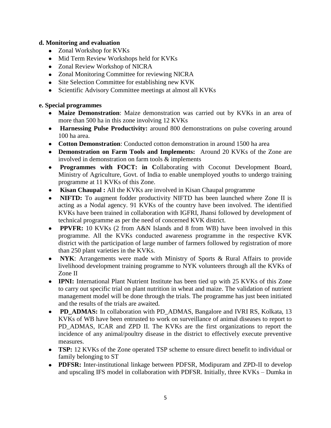### **d. Monitoring and evaluation**

- Zonal Workshop for KVKs
- Mid Term Review Workshops held for KVKs
- Zonal Review Workshop of NICRA
- Zonal Monitoring Committee for reviewing NICRA
- Site Selection Committee for establishing new KVK
- Scientific Advisory Committee meetings at almost all KVKs

## **e. Special programmes**

- **Maize Demonstration**: Maize demonstration was carried out by KVKs in an area of more than 500 ha in this zone involving 12 KVKs
- **Harnessing Pulse Productivity:** around 800 demonstrations on pulse covering around 100 ha area.
- **Cotton Demonstration**: Conducted cotton demonstration in around 1500 ha area
- **Demonstration on Farm Tools and Implements:** Around 20 KVKs of the Zone are involved in demonstration on farm tools & implements
- **Programmes with FOCT: in C**ollaborating with Coconut Development Board, Ministry of Agriculture, Govt. of India to enable unemployed youths to undergo training programme at 11 KVKs of this Zone.
- **Kisan Chaupal :** All the KVKs are involved in Kisan Chaupal programme
- **NIFTD:** To augment fodder productivity NIFTD has been launched where Zone II is acting as a Nodal agency. 91 KVKs of the country have been involved. The identified KVKs have been trained in collaboration with IGFRI, Jhansi followed by development of technical programme as per the need of concerned KVK district.
- **PPVFR:** 10 KVKs (2 from A&N Islands and 8 from WB) have been involved in this programme. All the KVKs conducted awareness programme in the respective KVK district with the participation of large number of farmers followed by registration of more than 250 plant varieties in the KVKs.
- **NYK**: Arrangements were made with Ministry of Sports & Rural Affairs to provide livelihood development training programme to NYK volunteers through all the KVKs of Zone II
- **IPNI:** International Plant Nutrient Institute has been tied up with 25 KVKs of this Zone to carry out specific trial on plant nutrition in wheat and maize. The validation of nutrient management model will be done through the trials. The programme has just been initiated and the results of the trials are awaited.
- **PD\_ADMAS:** In collaboration with PD\_ADMAS, Bangalore and IVRI RS, Kolkata, 13 KVKs of WB have been entrusted to work on surveillance of animal diseases to report to PD\_ADMAS, ICAR and ZPD\_II. The KVKs are the first organizations to report the incidence of any animal/poultry disease in the district to effectively execute preventive measures.
- **TSP:** 12 KVKs of the Zone operated TSP scheme to ensure direct benefit to individual or family belonging to ST
- **PDFSR:** Inter-institutional linkage between PDFSR, Modipuram and ZPD-II to develop and upscaling IFS model in collaboration with PDFSR. Initially, three KVKs – Dumka in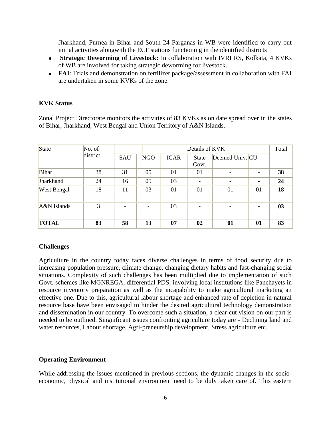Jharkhand, Purnea in Bihar and South 24 Parganas in WB were identified to carry out initial activities alongwith the ECF stations functioning in the identified districts

- **Strategic Deworming of Livestock:** In collaboration with IVRI RS, Kolkata, 4 KVKs of WB are involved for taking strategic deworming for livestock.
- **FAI**: Trials and demonstration on fertilizer package/assessment in collaboration with FAI are undertaken in some KVKs of the zone.

### **KVK Status**

Zonal Project Directorate monitors the activities of 83 KVKs as on date spread over in the states of Bihar, Jharkhand, West Bengal and Union Territory of A&N Islands.

| State        | No. of   | Details of KVK |            |             |                       | Total           |    |    |
|--------------|----------|----------------|------------|-------------|-----------------------|-----------------|----|----|
|              | district | SAU            | <b>NGO</b> | <b>ICAR</b> | <b>State</b><br>Govt. | Deemed Univ. CU |    |    |
| Bihar        | 38       | 31             | 05         | 01          | 01                    |                 |    | 38 |
| Jharkhand    | 24       | 16             | 05         | 03          | ۳                     |                 |    | 24 |
| West Bengal  | 18       | 11             | 03         | 01          | 01                    | 01              | 01 | 18 |
| A&N Islands  | 3        |                |            | 03          |                       |                 |    | 03 |
| <b>TOTAL</b> | 83       | 58             | 13         | 07          | 02                    | 01              | 01 | 83 |

#### **Challenges**

Agriculture in the country today faces diverse challenges in terms of food security due to increasing population pressure, climate change, changing dietary habits and fast-changing social situations. Complexity of such challenges has been multiplied due to implementation of such Govt. schemes like MGNREGA, differential PDS, involving local institutions like Panchayets in resource inventory preparation as well as the incapability to make agricultural marketing an effective one. Due to this, agricultural labour shortage and enhanced rate of depletion in natural resource base have been envisaged to hinder the desired agricultural technology demonstration and dissemination in our country. To overcome such a situation, a clear cut vision on our part is needed to be outlined. Singnificant issues confronting agriculture today are - Declining land and water resources, Labour shortage, Agri-preneurship development, Stress agriculture etc.

#### **Operating Environment**

While addressing the issues mentioned in previous sections, the dynamic changes in the socioeconomic, physical and institutional environment need to be duly taken care of. This eastern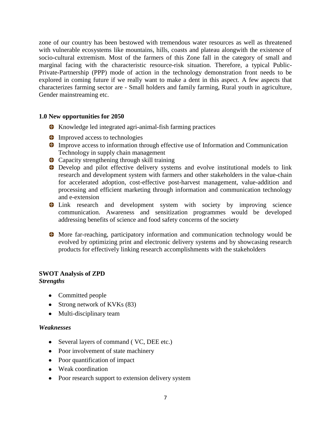zone of our country has been bestowed with tremendous water resources as well as threatened with vulnerable ecosystems like mountains, hills, coasts and plateau alongwith the existence of socio-cultural extremism. Most of the farmers of this Zone fall in the category of small and marginal facing with the characteristic resource-risk situation. Therefore, a typical Public-Private-Partnership (PPP) mode of action in the technology demonstration front needs to be explored in coming future if we really want to make a dent in this aspect. A few aspects that characterizes farming sector are - Small holders and family farming, Rural youth in agriculture, Gender mainstreaming etc.

#### **1.0 New opportunities for 2050**

- **K** Knowledge led integrated agri-animal-fish farming practices
- **Improved access to technologies**
- Improve access to information through effective use of Information and Communication Technology in supply chain management
- Capacity strengthening through skill training
- Develop and pilot effective delivery systems and evolve institutional models to link research and development system with farmers and other stakeholders in the value-chain for accelerated adoption, cost-effective post-harvest management, value-addition and processing and efficient marketing through information and communication technology and e-extension
- Link research and development system with society by improving science communication. Awareness and sensitization programmes would be developed addressing benefits of science and food safety concerns of the society
- More far-reaching, participatory information and communication technology would be evolved by optimizing print and electronic delivery systems and by showcasing research products for effectively linking research accomplishments with the stakeholders

# **SWOT Analysis of ZPD**

#### *Strengths*

- Committed people
- Strong network of KVKs (83)
- Multi-disciplinary team

#### *Weaknesses*

- Several layers of command ( VC, DEE etc.)
- Poor involvement of state machinery
- Poor quantification of impact
- Weak coordination
- Poor research support to extension delivery system